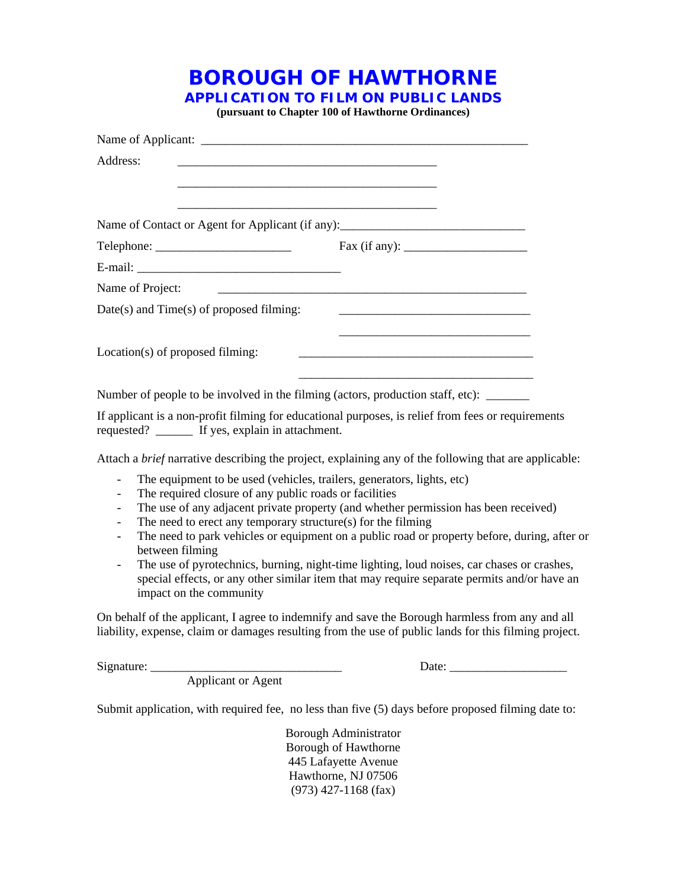**BOROUGH OF HAWTHORNE**

**APPLICATION TO FILM ON PUBLIC LANDS**

**(pursuant to Chapter 100 of Hawthorne Ordinances)**

| Address:                                                                                          |                                                                                                                      |
|---------------------------------------------------------------------------------------------------|----------------------------------------------------------------------------------------------------------------------|
| Name of Contact or Agent for Applicant (if any): _______________________________                  |                                                                                                                      |
|                                                                                                   |                                                                                                                      |
|                                                                                                   |                                                                                                                      |
| Name of Project:                                                                                  | <u> 2000 - Jan James James James James James James James James James James James James James James James James J</u> |
| Date(s) and Time(s) of proposed filming:                                                          |                                                                                                                      |
| Location(s) of proposed filming:                                                                  | <u> 1989 - Johann Barbara, margaret eta idazlearia (h. 1989).</u>                                                    |
| Number of people to be involved in the filming (actors, production staff, etc):                   |                                                                                                                      |
| If applicant is a non-profit filming for educational purposes, is relief from fees or requirement |                                                                                                                      |

If applicant is a non-profit filming for educational purposes, is relief from fees or requirements requested? \_\_\_\_\_\_ If yes, explain in attachment.

Attach a *brief* narrative describing the project, explaining any of the following that are applicable:

- The equipment to be used (vehicles, trailers, generators, lights, etc)
- The required closure of any public roads or facilities
- The use of any adjacent private property (and whether permission has been received)
- The need to erect any temporary structure(s) for the filming
- The need to park vehicles or equipment on a public road or property before, during, after or between filming
- The use of pyrotechnics, burning, night-time lighting, loud noises, car chases or crashes, special effects, or any other similar item that may require separate permits and/or have an impact on the community

On behalf of the applicant, I agree to indemnify and save the Borough harmless from any and all liability, expense, claim or damages resulting from the use of public lands for this filming project.

Signature: \_\_\_\_\_\_\_\_\_\_\_\_\_\_\_\_\_\_\_\_\_\_\_\_\_\_\_\_\_\_\_ Date: \_\_\_\_\_\_\_\_\_\_\_\_\_\_\_\_\_\_\_

Applicant or Agent

Submit application, with required fee, no less than five (5) days before proposed filming date to:

Borough Administrator Borough of Hawthorne 445 Lafayette Avenue Hawthorne, NJ 07506 (973) 427-1168 (fax)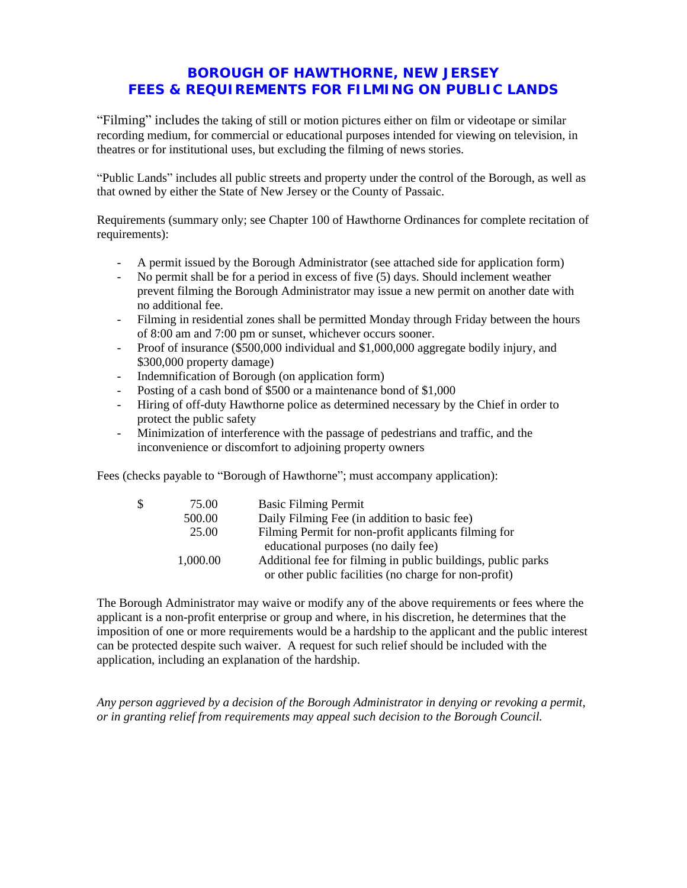## **BOROUGH OF HAWTHORNE, NEW JERSEY FEES & REQUIREMENTS FOR FILMING ON PUBLIC LANDS**

"Filming" includes the taking of still or motion pictures either on film or videotape or similar recording medium, for commercial or educational purposes intended for viewing on television, in theatres or for institutional uses, but excluding the filming of news stories.

"Public Lands" includes all public streets and property under the control of the Borough, as well as that owned by either the State of New Jersey or the County of Passaic.

Requirements (summary only; see Chapter 100 of Hawthorne Ordinances for complete recitation of requirements):

- A permit issued by the Borough Administrator (see attached side for application form)
- No permit shall be for a period in excess of five (5) days. Should inclement weather prevent filming the Borough Administrator may issue a new permit on another date with no additional fee.
- Filming in residential zones shall be permitted Monday through Friday between the hours of 8:00 am and 7:00 pm or sunset, whichever occurs sooner.
- Proof of insurance (\$500,000 individual and \$1,000,000 aggregate bodily injury, and \$300,000 property damage)
- Indemnification of Borough (on application form)
- Posting of a cash bond of \$500 or a maintenance bond of \$1,000
- Hiring of off-duty Hawthorne police as determined necessary by the Chief in order to protect the public safety
- Minimization of interference with the passage of pedestrians and traffic, and the inconvenience or discomfort to adjoining property owners

Fees (checks payable to "Borough of Hawthorne"; must accompany application):

| \$<br>75.00 | <b>Basic Filming Permit</b>                                  |
|-------------|--------------------------------------------------------------|
| 500.00      | Daily Filming Fee (in addition to basic fee)                 |
| 25.00       | Filming Permit for non-profit applicants filming for         |
|             | educational purposes (no daily fee)                          |
| 1,000.00    | Additional fee for filming in public buildings, public parks |
|             | or other public facilities (no charge for non-profit)        |

The Borough Administrator may waive or modify any of the above requirements or fees where the applicant is a non-profit enterprise or group and where, in his discretion, he determines that the imposition of one or more requirements would be a hardship to the applicant and the public interest can be protected despite such waiver. A request for such relief should be included with the application, including an explanation of the hardship.

*Any person aggrieved by a decision of the Borough Administrator in denying or revoking a permit, or in granting relief from requirements may appeal such decision to the Borough Council.*